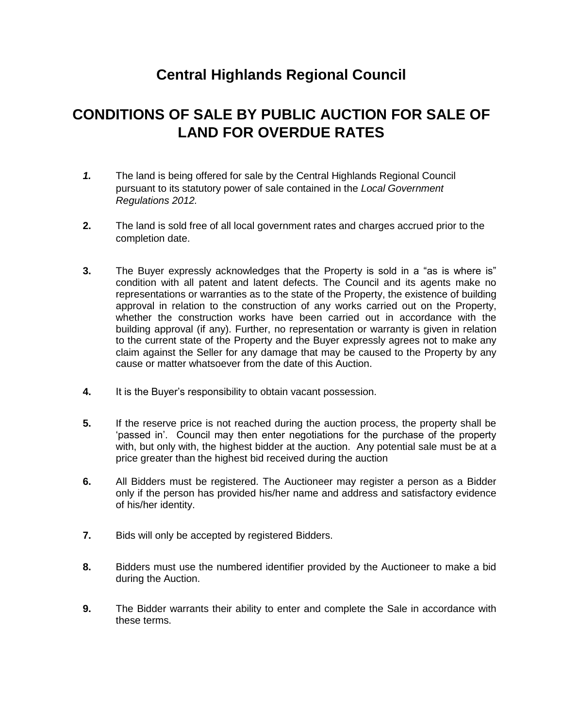## **Central Highlands Regional Council**

## **CONDITIONS OF SALE BY PUBLIC AUCTION FOR SALE OF LAND FOR OVERDUE RATES**

- *1.* The land is being offered for sale by the Central Highlands Regional Council pursuant to its statutory power of sale contained in the *Local Government Regulations 2012.*
- **2.** The land is sold free of all local government rates and charges accrued prior to the completion date.
- **3.** The Buyer expressly acknowledges that the Property is sold in a "as is where is" condition with all patent and latent defects. The Council and its agents make no representations or warranties as to the state of the Property, the existence of building approval in relation to the construction of any works carried out on the Property, whether the construction works have been carried out in accordance with the building approval (if any). Further, no representation or warranty is given in relation to the current state of the Property and the Buyer expressly agrees not to make any claim against the Seller for any damage that may be caused to the Property by any cause or matter whatsoever from the date of this Auction.
- **4.** It is the Buyer's responsibility to obtain vacant possession.
- **5.** If the reserve price is not reached during the auction process, the property shall be 'passed in'. Council may then enter negotiations for the purchase of the property with, but only with, the highest bidder at the auction. Any potential sale must be at a price greater than the highest bid received during the auction
- **6.** All Bidders must be registered. The Auctioneer may register a person as a Bidder only if the person has provided his/her name and address and satisfactory evidence of his/her identity.
- **7.** Bids will only be accepted by registered Bidders.
- **8.** Bidders must use the numbered identifier provided by the Auctioneer to make a bid during the Auction.
- **9.** The Bidder warrants their ability to enter and complete the Sale in accordance with these terms.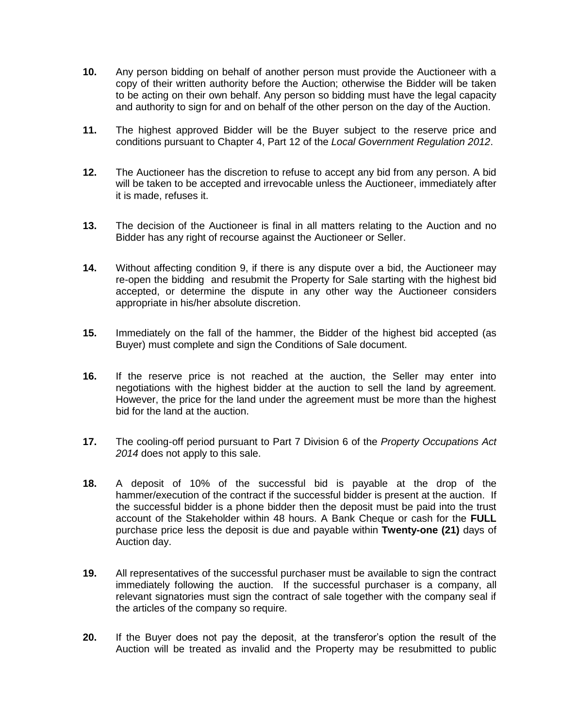- **10.** Any person bidding on behalf of another person must provide the Auctioneer with a copy of their written authority before the Auction; otherwise the Bidder will be taken to be acting on their own behalf. Any person so bidding must have the legal capacity and authority to sign for and on behalf of the other person on the day of the Auction.
- **11.** The highest approved Bidder will be the Buyer subject to the reserve price and conditions pursuant to Chapter 4, Part 12 of the *Local Government Regulation 2012*.
- **12.** The Auctioneer has the discretion to refuse to accept any bid from any person. A bid will be taken to be accepted and irrevocable unless the Auctioneer, immediately after it is made, refuses it.
- **13.** The decision of the Auctioneer is final in all matters relating to the Auction and no Bidder has any right of recourse against the Auctioneer or Seller.
- **14.** Without affecting condition 9, if there is any dispute over a bid, the Auctioneer may re-open the bidding and resubmit the Property for Sale starting with the highest bid accepted, or determine the dispute in any other way the Auctioneer considers appropriate in his/her absolute discretion.
- **15.** Immediately on the fall of the hammer, the Bidder of the highest bid accepted (as Buyer) must complete and sign the Conditions of Sale document.
- **16.** If the reserve price is not reached at the auction, the Seller may enter into negotiations with the highest bidder at the auction to sell the land by agreement. However, the price for the land under the agreement must be more than the highest bid for the land at the auction.
- **17.** The cooling-off period pursuant to Part 7 Division 6 of the *Property Occupations Act 2014* does not apply to this sale.
- **18.** A deposit of 10% of the successful bid is payable at the drop of the hammer/execution of the contract if the successful bidder is present at the auction. If the successful bidder is a phone bidder then the deposit must be paid into the trust account of the Stakeholder within 48 hours. A Bank Cheque or cash for the **FULL** purchase price less the deposit is due and payable within **Twenty-one (21)** days of Auction day.
- **19.** All representatives of the successful purchaser must be available to sign the contract immediately following the auction. If the successful purchaser is a company, all relevant signatories must sign the contract of sale together with the company seal if the articles of the company so require.
- **20.** If the Buyer does not pay the deposit, at the transferor's option the result of the Auction will be treated as invalid and the Property may be resubmitted to public